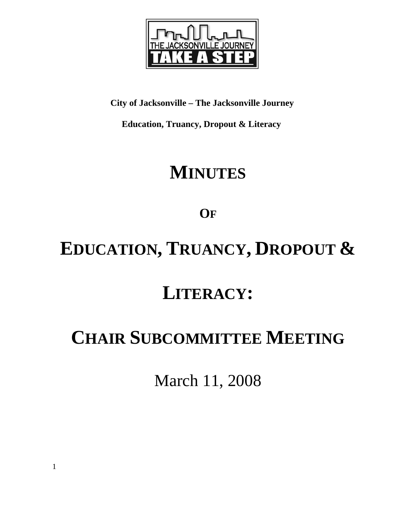

### **City of Jacksonville – The Jacksonville Journey**

 **Education, Truancy, Dropout & Literacy** 

# **MINUTES**

## **OF**

# **EDUCATION, TRUANCY, DROPOUT &**

# **LITERACY:**

# **CHAIR SUBCOMMITTEE MEETING**

March 11, 2008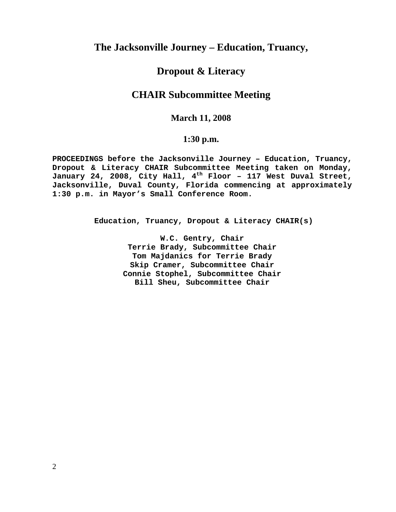### **The Jacksonville Journey – Education, Truancy,**

### **Dropout & Literacy**

### **CHAIR Subcommittee Meeting**

#### **March 11, 2008**

#### **1:30 p.m.**

**PROCEEDINGS before the Jacksonville Journey – Education, Truancy, Dropout & Literacy CHAIR Subcommittee Meeting taken on Monday, January 24, 2008, City Hall, 4th Floor – 117 West Duval Street, Jacksonville, Duval County, Florida commencing at approximately 1:30 p.m. in Mayor's Small Conference Room.** 

**Education, Truancy, Dropout & Literacy CHAIR(s)** 

**W.C. Gentry, Chair Terrie Brady, Subcommittee Chair Tom Majdanics for Terrie Brady Skip Cramer, Subcommittee Chair Connie Stophel, Subcommittee Chair Bill Sheu, Subcommittee Chair**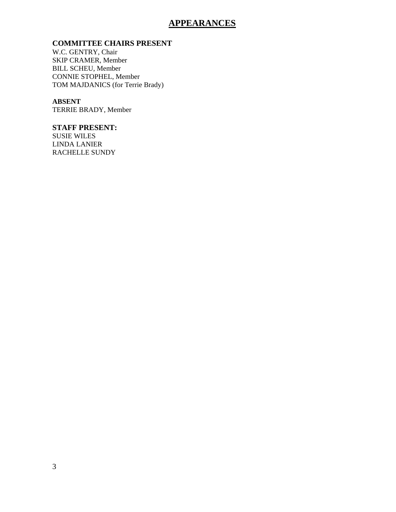#### **APPEARANCES**

#### **COMMITTEE CHAIRS PRESENT**

W.C. GENTRY, Chair SKIP CRAMER, Member BILL SCHEU, Member CONNIE STOPHEL, Member TOM MAJDANICS (for Terrie Brady)

#### **ABSENT**

TERRIE BRADY, Member

#### **STAFF PRESENT:**

SUSIE WILES LINDA LANIER RACHELLE SUNDY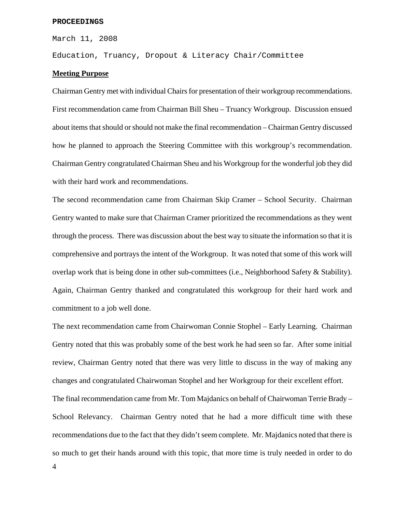#### **PROCEEDINGS**

March 11, 2008

Education, Truancy, Dropout & Literacy Chair/Committee

#### **Meeting Purpose**

Chairman Gentry met with individual Chairs for presentation of their workgroup recommendations. First recommendation came from Chairman Bill Sheu – Truancy Workgroup. Discussion ensued about items that should or should not make the final recommendation – Chairman Gentry discussed how he planned to approach the Steering Committee with this workgroup's recommendation. Chairman Gentry congratulated Chairman Sheu and his Workgroup for the wonderful job they did with their hard work and recommendations.

The second recommendation came from Chairman Skip Cramer – School Security. Chairman Gentry wanted to make sure that Chairman Cramer prioritized the recommendations as they went through the process. There was discussion about the best way to situate the information so that it is comprehensive and portrays the intent of the Workgroup. It was noted that some of this work will overlap work that is being done in other sub-committees (i.e., Neighborhood Safety & Stability). Again, Chairman Gentry thanked and congratulated this workgroup for their hard work and commitment to a job well done.

The next recommendation came from Chairwoman Connie Stophel – Early Learning. Chairman Gentry noted that this was probably some of the best work he had seen so far. After some initial review, Chairman Gentry noted that there was very little to discuss in the way of making any changes and congratulated Chairwoman Stophel and her Workgroup for their excellent effort. The final recommendation came from Mr. Tom Majdanics on behalf of Chairwoman Terrie Brady – School Relevancy. Chairman Gentry noted that he had a more difficult time with these recommendations due to the fact that they didn't seem complete. Mr. Majdanics noted that there is so much to get their hands around with this topic, that more time is truly needed in order to do